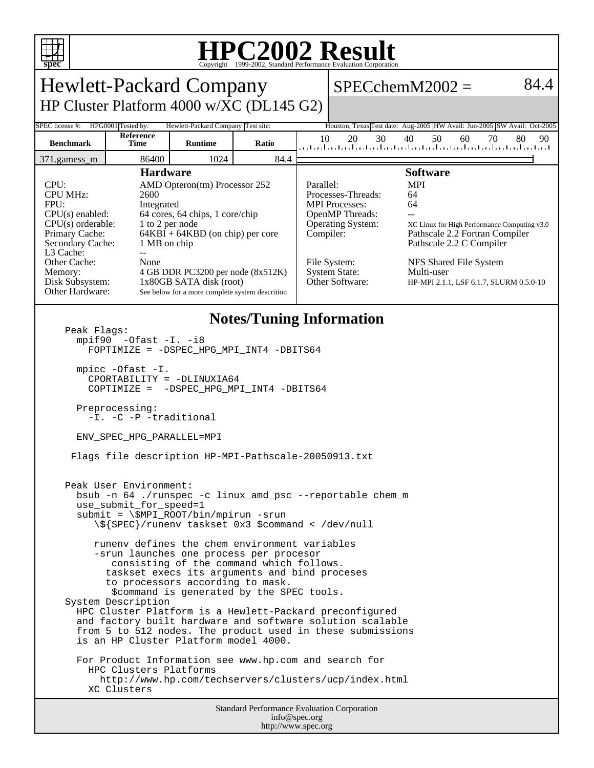

## **HPC2002 Result**

| <b>Hewlett-Packard Company</b>                                                                                                                                                                                                                                                                                                                                                                                                                                                                                                                                                                                                                                                                                                                                                                                                                                                                                                                                                                                                                                                                                                                                                                                                                     |                    |                                                                                                                                                                                                                           |       |           |                                                                                                                                                                                                                                                                                                                                                                                                                             | $SPECchemM2002 =$                                                                                  | 84.4            |
|----------------------------------------------------------------------------------------------------------------------------------------------------------------------------------------------------------------------------------------------------------------------------------------------------------------------------------------------------------------------------------------------------------------------------------------------------------------------------------------------------------------------------------------------------------------------------------------------------------------------------------------------------------------------------------------------------------------------------------------------------------------------------------------------------------------------------------------------------------------------------------------------------------------------------------------------------------------------------------------------------------------------------------------------------------------------------------------------------------------------------------------------------------------------------------------------------------------------------------------------------|--------------------|---------------------------------------------------------------------------------------------------------------------------------------------------------------------------------------------------------------------------|-------|-----------|-----------------------------------------------------------------------------------------------------------------------------------------------------------------------------------------------------------------------------------------------------------------------------------------------------------------------------------------------------------------------------------------------------------------------------|----------------------------------------------------------------------------------------------------|-----------------|
| HP Cluster Platform 4000 w/XC (DL145 G2)                                                                                                                                                                                                                                                                                                                                                                                                                                                                                                                                                                                                                                                                                                                                                                                                                                                                                                                                                                                                                                                                                                                                                                                                           |                    |                                                                                                                                                                                                                           |       |           |                                                                                                                                                                                                                                                                                                                                                                                                                             |                                                                                                    |                 |
| SPEC license #:                                                                                                                                                                                                                                                                                                                                                                                                                                                                                                                                                                                                                                                                                                                                                                                                                                                                                                                                                                                                                                                                                                                                                                                                                                    | HPG0001 Tested by: | Hewlett-Packard Company Test site:                                                                                                                                                                                        |       |           |                                                                                                                                                                                                                                                                                                                                                                                                                             | Houston, Texas Test date: Aug-2005 HW Avail: Jun-2005 SW Avail: Oct-2005                           |                 |
| <b>Benchmark</b>                                                                                                                                                                                                                                                                                                                                                                                                                                                                                                                                                                                                                                                                                                                                                                                                                                                                                                                                                                                                                                                                                                                                                                                                                                   | Reference<br>Time  | <b>Runtime</b>                                                                                                                                                                                                            | Ratio | 10        | 30<br>20                                                                                                                                                                                                                                                                                                                                                                                                                    | 50<br>40<br>60<br>التمانية ليما بماعتنا بماحيتا بماحيتا بماعتنا بماحيا والماحيا وباحتاجها والمناخب | 70<br>80<br>90. |
| 86400<br>1024<br>84.4<br>371.gamess_m                                                                                                                                                                                                                                                                                                                                                                                                                                                                                                                                                                                                                                                                                                                                                                                                                                                                                                                                                                                                                                                                                                                                                                                                              |                    |                                                                                                                                                                                                                           |       |           |                                                                                                                                                                                                                                                                                                                                                                                                                             |                                                                                                    |                 |
| <b>Hardware</b><br>CPU:<br><b>CPU MHz:</b><br>2600<br>FPU:<br>Integrated<br>$CPU(s)$ enabled:<br>$CPU(s)$ orderable:<br>1 to 2 per node<br>Primary Cache:<br>Secondary Cache:<br>1 MB on chip<br>L3 Cache:<br>$\overline{a}$<br>Other Cache:<br>None<br>Memory:<br>Disk Subsystem:<br>Other Hardware:                                                                                                                                                                                                                                                                                                                                                                                                                                                                                                                                                                                                                                                                                                                                                                                                                                                                                                                                              |                    | AMD Opteron(tm) Processor 252<br>64 cores, 64 chips, 1 core/chip<br>$64KBI + 64KBD$ (on chip) per core<br>4 GB DDR PC3200 per node (8x512K)<br>1x80GB SATA disk (root)<br>See below for a more complete system descrition |       | Parallel: | <b>Software</b><br><b>MPI</b><br>Processes-Threads:<br>64<br>64<br><b>MPI</b> Processes:<br>OpenMP Threads:<br>$\overline{a}$<br>Operating System:<br>XC Linux for High Performance Computing v3.0<br>Compiler:<br>Pathscale 2.2 Fortran Compiler<br>Pathscale 2.2 C Compiler<br>File System:<br>NFS Shared File System<br><b>System State:</b><br>Multi-user<br>Other Software:<br>HP-MPI 2.1.1, LSF 6.1.7, SLURM 0.5.0-10 |                                                                                                    |                 |
| <b>Notes/Tuning Information</b><br>Peak Flags:<br>$mpif90 -0fast -I. -i8$<br>FOPTIMIZE = - DSPEC_HPG_MPI_INT4 -DBITS64<br>mpicc -Ofast -I.<br>CPORTABILITY = -DLINUXIA64<br>COPTIMIZE = - DSPEC_HPG_MPI_INT4 -DBITS64<br>Preprocessing:<br>-I. -C -P -traditional<br>ENV_SPEC_HPG_PARALLEL=MPI<br>Flags file description HP-MPI-Pathscale-20050913.txt<br>Peak User Environment:<br>bsub -n 64 ./runspec -c linux_amd_psc --reportable chem_m<br>use_submit_tor_speed=1<br>$submit = \SMPI_ROOT/bin/mpirun -srun$<br>\\${SPEC}/runenv taskset 0x3 \$command < /dev/null<br>runeny defines the chem environment variables<br>-srun launches one process per procesor<br>consisting of the command which follows.<br>taskset execs its arguments and bind proceses<br>to processors according to mask.<br>\$command is generated by the SPEC tools.<br>System Description<br>HPC Cluster Platform is a Hewlett-Packard preconfigured<br>and factory built hardware and software solution scalable<br>from 5 to 512 nodes. The product used in these submissions<br>is an HP Cluster Platform model 4000.<br>For Product Information see www.hp.com and search for<br>HPC Clusters Platforms<br>http://www.hp.com/techservers/clusters/ucp/index.html |                    |                                                                                                                                                                                                                           |       |           |                                                                                                                                                                                                                                                                                                                                                                                                                             |                                                                                                    |                 |
| Standard Performance Evaluation Corporation<br>info@spec.org                                                                                                                                                                                                                                                                                                                                                                                                                                                                                                                                                                                                                                                                                                                                                                                                                                                                                                                                                                                                                                                                                                                                                                                       |                    |                                                                                                                                                                                                                           |       |           |                                                                                                                                                                                                                                                                                                                                                                                                                             |                                                                                                    |                 |

http://www.spec.org